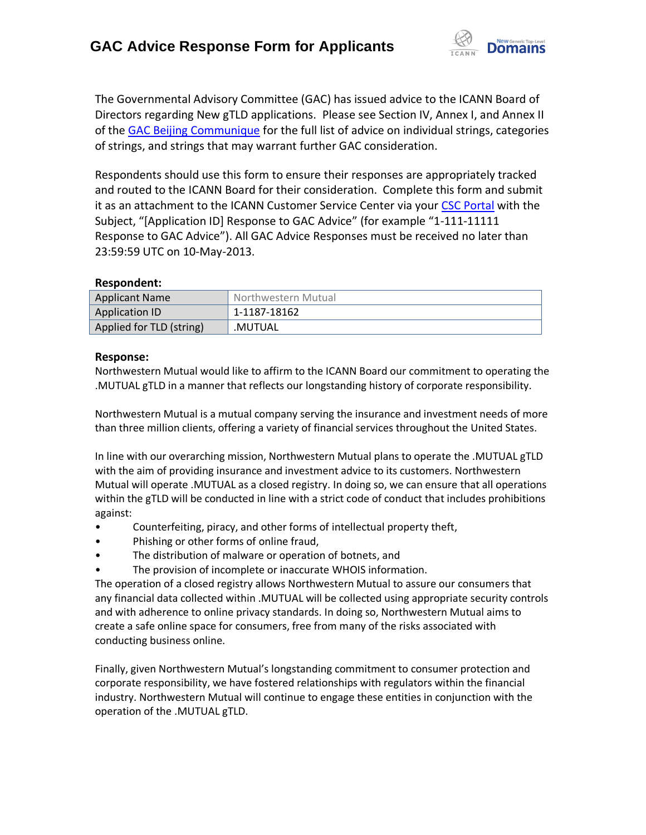

The Governmental Advisory Committee (GAC) has issued advice to the ICANN Board of Directors regarding New gTLD applications. Please see Section IV, Annex I, and Annex II of the [GAC Beijing Communique](http://www.icann.org/en/news/correspondence/gac-to-board-18apr13-en.pdf) for the full list of advice on individual strings, categories of strings, and strings that may warrant further GAC consideration.

Respondents should use this form to ensure their responses are appropriately tracked and routed to the ICANN Board for their consideration. Complete this form and submit it as an attachment to the ICANN Customer Service Center via your CSC [Portal](https://myicann.secure.force.com/) with the Subject, "[Application ID] Response to GAC Advice" (for example "1-111-11111 Response to GAC Advice"). All GAC Advice Responses must be received no later than 23:59:59 UTC on 10-May-2013.

## **Respondent:**

| <b>Applicant Name</b>    | Northwestern Mutual |
|--------------------------|---------------------|
| <b>Application ID</b>    | 1-1187-18162        |
| Applied for TLD (string) | .MUTUAL             |

## **Response:**

Northwestern Mutual would like to affirm to the ICANN Board our commitment to operating the .MUTUAL gTLD in a manner that reflects our longstanding history of corporate responsibility.

Northwestern Mutual is a mutual company serving the insurance and investment needs of more than three million clients, offering a variety of financial services throughout the United States.

In line with our overarching mission, Northwestern Mutual plans to operate the .MUTUAL gTLD with the aim of providing insurance and investment advice to its customers. Northwestern Mutual will operate .MUTUAL as a closed registry. In doing so, we can ensure that all operations within the gTLD will be conducted in line with a strict code of conduct that includes prohibitions against:

- Counterfeiting, piracy, and other forms of intellectual property theft,
- Phishing or other forms of online fraud,
- The distribution of malware or operation of botnets, and
- The provision of incomplete or inaccurate WHOIS information.

The operation of a closed registry allows Northwestern Mutual to assure our consumers that any financial data collected within .MUTUAL will be collected using appropriate security controls and with adherence to online privacy standards. In doing so, Northwestern Mutual aims to create a safe online space for consumers, free from many of the risks associated with conducting business online.

Finally, given Northwestern Mutual's longstanding commitment to consumer protection and corporate responsibility, we have fostered relationships with regulators within the financial industry. Northwestern Mutual will continue to engage these entities in conjunction with the operation of the .MUTUAL gTLD.